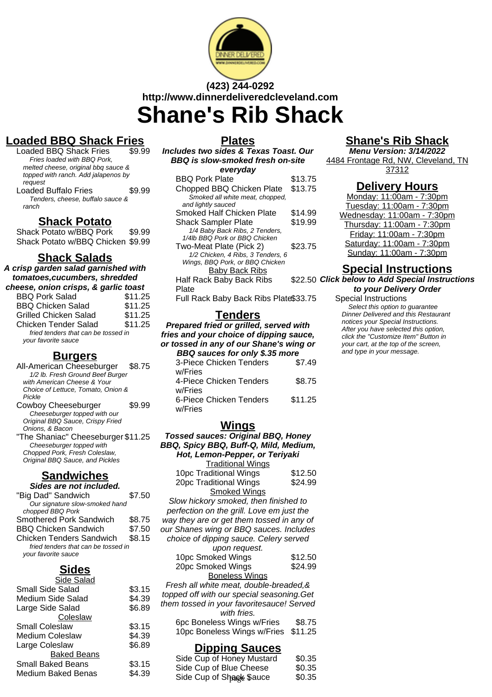

# **(423) 244-0292 http://www.dinnerdeliveredcleveland.com Shane's Rib Shack**

# **Loaded BBQ Shack Fries**

Loaded BBQ Shack Fries Fries loaded with BBQ Pork, melted cheese, original bbq sauce & topped with ranch. Add jalapenos by request Loaded Buffalo Fries \$9.99

Tenders, cheese, buffalo sauce & ranch

#### **Shack Potato**

Shack Potato w/BBQ Pork \$9.99 Shack Potato w/BBQ Chicken \$9.99

#### **Shack Salads**

**A crisp garden salad garnished with tomatoes,cucumbers, shredded**

| cheese, onion crisps, & garlic toast                       |         |
|------------------------------------------------------------|---------|
| <b>BBQ Pork Salad</b>                                      | \$11.25 |
| <b>BBQ Chicken Salad</b>                                   | \$11.25 |
| <b>Grilled Chicken Salad</b>                               | \$11.25 |
| <b>Chicken Tender Salad</b>                                | \$11.25 |
| fried tenders that can be tossed in<br>your favorite sauce |         |

#### **Burgers**

| All-American Cheeseburger \$8.75    |        |
|-------------------------------------|--------|
| 1/2 lb. Fresh Ground Beef Burger    |        |
| with American Cheese & Your         |        |
| Choice of Lettuce, Tomato, Onion &  |        |
| Pickle                              |        |
| Cowboy Cheeseburger                 | \$9.99 |
| Cheeseburger topped with our        |        |
| Original BBQ Sauce, Crispy Fried    |        |
| Onions, & Bacon                     |        |
| "The Shaniac" Cheeseburger \$11.25" |        |

5haniac" Cheeseburg Cheeseburger topped with Chopped Pork, Fresh Coleslaw, Original BBQ Sauce, and Pickles

## **Sandwiches**

**Sides are not included.**

| "Big Dad" Sandwich                  | \$7.50 |
|-------------------------------------|--------|
| Our signature slow-smoked hand      |        |
| chopped BBQ Pork                    |        |
| Smothered Pork Sandwich             | \$8.75 |
| <b>BBQ Chicken Sandwich</b>         | \$7.50 |
| <b>Chicken Tenders Sandwich</b>     | \$8.15 |
| fried tenders that can be tossed in |        |
| your favorite sauce                 |        |

## **Sides**

| Side Salad               |        |
|--------------------------|--------|
| Small Side Salad         | \$3.15 |
| Medium Side Salad        | \$4.39 |
| Large Side Salad         | \$6.89 |
| Coleslaw                 |        |
| <b>Small Coleslaw</b>    | \$3.15 |
| <b>Medium Coleslaw</b>   | \$4.39 |
| Large Coleslaw           | \$6.89 |
| <b>Baked Beans</b>       |        |
| <b>Small Baked Beans</b> | \$3.15 |
| Medium Baked Benas       | \$4.39 |
|                          |        |

#### **Plates**

| Includes two sides & Texas Toast. Our   |         |
|-----------------------------------------|---------|
| <b>BBQ</b> is slow-smoked fresh on-site |         |
| everyday                                |         |
| <b>BBQ Pork Plate</b>                   | \$13.75 |
| Chopped BBQ Chicken Plate               | \$13.75 |
| Smoked all white meat, chopped,         |         |
| and lightly sauced                      |         |
| Smoked Half Chicken Plate               | \$14.99 |
| <b>Shack Sampler Plate</b>              | \$19.99 |
| 1/4 Baby Back Ribs, 2 Tenders,          |         |
| 1/4lb BBQ Pork or BBQ Chicken           |         |
| Two-Meat Plate (Pick 2)                 | \$23.75 |
| 1/2 Chicken, 4 Ribs, 3 Tenders, 6       |         |
| Wings, BBQ Pork, or BBQ Chicken         |         |
| <u>Baby Back Ribs</u>                   |         |
| Half Rack Baby Back Ribs                | \$22.50 |
| Plate                                   |         |
| Full Rack Baby Back Ribs Plate\$33.75   |         |

## **Tenders**

**Prepared fried or grilled, served with fries and your choice of dipping sauce, or tossed in any of our Shane's wing or BBQ sauces for only \$.35 more**

| 3-Piece Chicken Tenders | \$7.49  |
|-------------------------|---------|
| w/Fries                 |         |
| 4-Piece Chicken Tenders | \$8.75  |
| w/Fries                 |         |
| 6-Piece Chicken Tenders | \$11.25 |
| w/Fries                 |         |
|                         |         |

#### **Wings**

**Tossed sauces: Original BBQ, Honey BBQ, Spicy BBQ, Buff-Q, Mild, Medium, Hot, Lemon-Pepper, or Teriyaki**

| <b>Traditional Wings</b>                                 |         |
|----------------------------------------------------------|---------|
| 10pc Traditional Wings                                   | \$12.50 |
| 20pc Traditional Wings                                   | \$24.99 |
| <b>Smoked Wings</b>                                      |         |
| Slow hickory smoked, then finished to                    |         |
| perfection on the grill. Love em just the                |         |
| way they are or get them tossed in any of                |         |
| our Shanes wing or BBQ sauces. Includes                  |         |
| choice of dipping sauce. Celery served                   |         |
| upon request.                                            |         |
| 10pc Smoked Wings                                        | \$12.50 |
| 20pc Smoked Wings                                        | \$24.99 |
| <b>Boneless Wings</b>                                    |         |
| Fresh all white meat, double-breaded, &                  |         |
| topped off with our special seasoning. Get               |         |
| them tossed in your favoritesauce! Served<br>with fries. |         |
| 6pc Boneless Wings w/Fries                               | \$8.75  |
| 10pc Boneless Wings w/Fries                              | \$11.25 |
| <u>Dipping Sauces</u>                                    |         |
| Side Cup of Honoy Mustard                                | ድሰ ኃድ   |

## **Shane's Rib Shack**

**Menu Version: 3/14/2022** 4484 Frontage Rd, NW, Cleveland, TN 37312

### **Delivery Hours**

Monday: 11:00am - 7:30pm Tuesday: 11:00am - 7:30pm Wednesday: 11:00am - 7:30pm Thursday: 11:00am - 7:30pm Friday: 11:00am - 7:30pm Saturday: 11:00am - 7:30pm Sunday: 11:00am - 7:30pm

### **Special Instructions**

**Click below to Add Special Instructions to your Delivery Order**

#### Special Instructions

Select this option to quarantee Dinner Delivered and this Restaurant notices your Special Instructions. After you have selected this option, click the "Customize Item" Button in your cart, at the top of the screen, and type in your message.

| Side Cup of Honey Mustard | \$0.35 |
|---------------------------|--------|
| Side Cup of Blue Cheese   | \$0.35 |
| Side Cup of Shage Sauce   | \$0.35 |